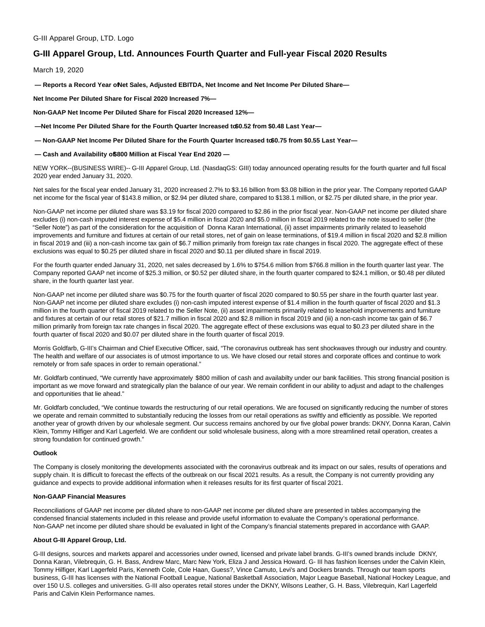# **G-III Apparel Group, Ltd. Announces Fourth Quarter and Full-year Fiscal 2020 Results**

March 19, 2020

**— Reports a Record Year of Net Sales, Adjusted EBITDA, Net Income and Net Income Per Diluted Share—**

**Net Income Per Diluted Share for Fiscal 2020 Increased 7%—**

**Non-GAAP Net Income Per Diluted Share for Fiscal 2020 Increased 12%—**

-Net Income Per Diluted Share for the Fourth Quarter Increased to \$0.52 from \$0.48 Last Year-

 $-$  Non-GAAP Net Income Per Diluted Share for the Fourth Quarter Increased to \$0.75 from \$0.55 Last Year-

**— Cash and Availability of \$800 Million at Fiscal Year End 2020 —**

NEW YORK--(BUSINESS WIRE)-- G-III Apparel Group, Ltd. (NasdaqGS: GIII) today announced operating results for the fourth quarter and full fiscal 2020 year ended January 31, 2020.

Net sales for the fiscal year ended January 31, 2020 increased 2.7% to \$3.16 billion from \$3.08 billion in the prior year. The Company reported GAAP net income for the fiscal year of \$143.8 million, or \$2.94 per diluted share, compared to \$138.1 million, or \$2.75 per diluted share, in the prior year.

Non-GAAP net income per diluted share was \$3.19 for fiscal 2020 compared to \$2.86 in the prior fiscal year. Non-GAAP net income per diluted share excludes (i) non-cash imputed interest expense of \$5.4 million in fiscal 2020 and \$5.0 million in fiscal 2019 related to the note issued to seller (the "Seller Note") as part of the consideration for the acquisition of Donna Karan International, (ii) asset impairments primarily related to leasehold improvements and furniture and fixtures at certain of our retail stores, net of gain on lease terminations, of \$19.4 million in fiscal 2020 and \$2.8 million in fiscal 2019 and (iii) a non-cash income tax gain of \$6.7 million primarily from foreign tax rate changes in fiscal 2020. The aggregate effect of these exclusions was equal to \$0.25 per diluted share in fiscal 2020 and \$0.11 per diluted share in fiscal 2019.

For the fourth quarter ended January 31, 2020, net sales decreased by 1.6% to \$754.6 million from \$766.8 million in the fourth quarter last year. The Company reported GAAP net income of \$25.3 million, or \$0.52 per diluted share, in the fourth quarter compared to \$24.1 million, or \$0.48 per diluted share, in the fourth quarter last year.

Non-GAAP net income per diluted share was \$0.75 for the fourth quarter of fiscal 2020 compared to \$0.55 per share in the fourth quarter last year. Non-GAAP net income per diluted share excludes (i) non-cash imputed interest expense of \$1.4 million in the fourth quarter of fiscal 2020 and \$1.3 million in the fourth quarter of fiscal 2019 related to the Seller Note, (ii) asset impairments primarily related to leasehold improvements and furniture and fixtures at certain of our retail stores of \$21.7 million in fiscal 2020 and \$2.8 million in fiscal 2019 and (iii) a non-cash income tax gain of \$6.7 million primarily from foreign tax rate changes in fiscal 2020. The aggregate effect of these exclusions was equal to \$0.23 per diluted share in the fourth quarter of fiscal 2020 and \$0.07 per diluted share in the fourth quarter of fiscal 2019.

Morris Goldfarb, G-III's Chairman and Chief Executive Officer, said, "The coronavirus outbreak has sent shockwaves through our industry and country. The health and welfare of our associates is of utmost importance to us. We have closed our retail stores and corporate offices and continue to work remotely or from safe spaces in order to remain operational."

Mr. Goldfarb continued, "We currently have approximately \$800 million of cash and availabilty under our bank facilities. This strong financial position is important as we move forward and strategically plan the balance of our year. We remain confident in our ability to adjust and adapt to the challenges and opportunities that lie ahead."

Mr. Goldfarb concluded, "We continue towards the restructuring of our retail operations. We are focused on significantly reducing the number of stores we operate and remain committed to substantially reducing the losses from our retail operations as swiftly and efficiently as possible. We reported another year of growth driven by our wholesale segment. Our success remains anchored by our five global power brands: DKNY, Donna Karan, Calvin Klein, Tommy Hilfiger and Karl Lagerfeld. We are confident our solid wholesale business, along with a more streamlined retail operation, creates a strong foundation for continued growth."

## **Outlook**

The Company is closely monitoring the developments associated with the coronavirus outbreak and its impact on our sales, results of operations and supply chain. It is difficult to forecast the effects of the outbreak on our fiscal 2021 results. As a result, the Company is not currently providing any guidance and expects to provide additional information when it releases results for its first quarter of fiscal 2021.

### **Non-GAAP Financial Measures**

Reconciliations of GAAP net income per diluted share to non-GAAP net income per diluted share are presented in tables accompanying the condensed financial statements included in this release and provide useful information to evaluate the Company's operational performance. Non-GAAP net income per diluted share should be evaluated in light of the Company's financial statements prepared in accordance with GAAP.

## **About G-III Apparel Group, Ltd.**

G-III designs, sources and markets apparel and accessories under owned, licensed and private label brands. G-III's owned brands include DKNY, Donna Karan, Vilebrequin, G. H. Bass, Andrew Marc, Marc New York, Eliza J and Jessica Howard. G- III has fashion licenses under the Calvin Klein, Tommy Hilfiger, Karl Lagerfeld Paris, Kenneth Cole, Cole Haan, Guess?, Vince Camuto, Levi's and Dockers brands. Through our team sports business, G-III has licenses with the National Football League, National Basketball Association, Major League Baseball, National Hockey League, and over 150 U.S. colleges and universities. G-III also operates retail stores under the DKNY, Wilsons Leather, G. H. Bass, Vilebrequin, Karl Lagerfeld Paris and Calvin Klein Performance names.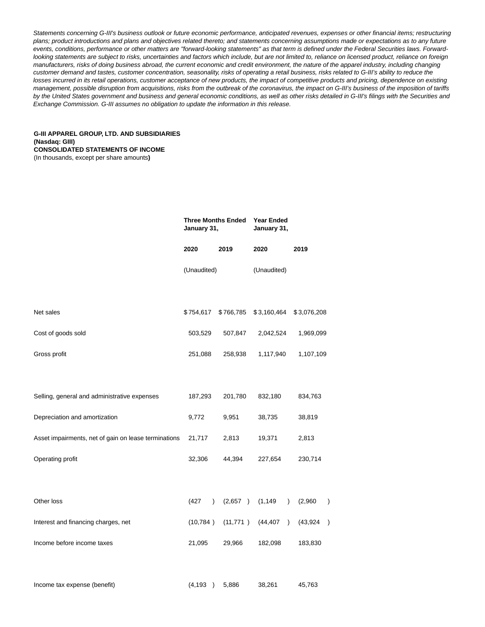Statements concerning G-III's business outlook or future economic performance, anticipated revenues, expenses or other financial items; restructuring plans; product introductions and plans and objectives related thereto; and statements concerning assumptions made or expectations as to any future events, conditions, performance or other matters are "forward-looking statements" as that term is defined under the Federal Securities laws. Forwardlooking statements are subject to risks, uncertainties and factors which include, but are not limited to, reliance on licensed product, reliance on foreign manufacturers, risks of doing business abroad, the current economic and credit environment, the nature of the apparel industry, including changing customer demand and tastes, customer concentration, seasonality, risks of operating a retail business, risks related to G-III's ability to reduce the losses incurred in its retail operations, customer acceptance of new products, the impact of competitive products and pricing, dependence on existing management, possible disruption from acquisitions, risks from the outbreak of the coronavirus, the impact on G-III's business of the imposition of tariffs by the United States government and business and general economic conditions, as well as other risks detailed in G-III's filings with the Securities and Exchange Commission. G-III assumes no obligation to update the information in this release.

# **G-III APPAREL GROUP, LTD. AND SUBSIDIARIES (Nasdaq: GIII) CONSOLIDATED STATEMENTS OF INCOME**

(In thousands, except per share amounts**)**

|                                                      | <b>Three Months Ended</b><br>January 31, |           | <b>Year Ended</b><br>January 31, |                          |
|------------------------------------------------------|------------------------------------------|-----------|----------------------------------|--------------------------|
|                                                      | 2020                                     | 2019      | 2020                             | 2019                     |
|                                                      | (Unaudited)                              |           | (Unaudited)                      |                          |
|                                                      |                                          |           |                                  |                          |
| Net sales                                            | \$754,617                                | \$766,785 | \$3,160,464                      | \$3,076,208              |
| Cost of goods sold                                   | 503,529                                  | 507,847   | 2,042,524                        | 1,969,099                |
| Gross profit                                         | 251,088                                  | 258,938   | 1,117,940                        | 1,107,109                |
|                                                      |                                          |           |                                  |                          |
| Selling, general and administrative expenses         | 187,293                                  | 201,780   | 832,180                          | 834,763                  |
| Depreciation and amortization                        | 9,772                                    | 9,951     | 38,735                           | 38,819                   |
| Asset impairments, net of gain on lease terminations | 21,717                                   | 2,813     | 19,371                           | 2,813                    |
| Operating profit                                     | 32,306                                   | 44,394    | 227,654                          | 230,714                  |
|                                                      |                                          |           |                                  |                          |
| Other loss                                           | (427)<br>$\lambda$                       | (2,657)   | (1, 149)<br>$\mathcal{L}$        | (2,960)<br>$\mathcal{E}$ |
| Interest and financing charges, net                  | (10, 784)                                | (11, 771) | (44, 407)<br>$\lambda$           | (43, 924)<br>$\lambda$   |
| Income before income taxes                           | 21,095                                   | 29,966    | 182,098                          | 183,830                  |
|                                                      |                                          |           |                                  |                          |
| Income tax expense (benefit)                         | (4, 193)                                 | 5,886     | 38,261                           | 45,763                   |
|                                                      |                                          |           |                                  |                          |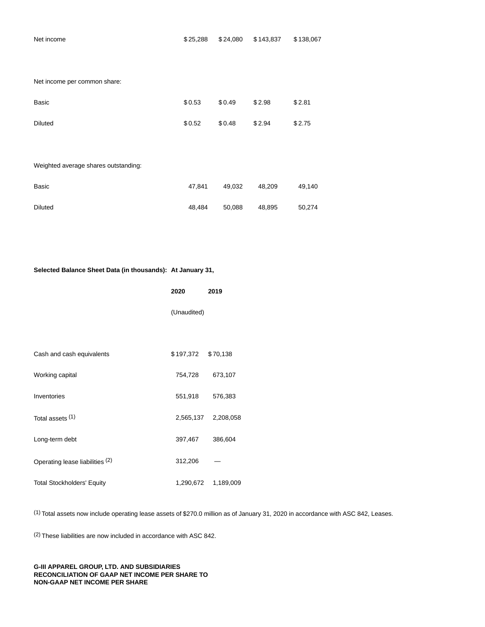Net income per common share:

| <b>Basic</b>                         | \$0.53 | \$0.49 | \$2.98 | \$2.81 |
|--------------------------------------|--------|--------|--------|--------|
| <b>Diluted</b>                       | \$0.52 | \$0.48 | \$2.94 | \$2.75 |
|                                      |        |        |        |        |
| Weighted average shares outstanding: |        |        |        |        |
| <b>Basic</b>                         | 47,841 | 49,032 | 48,209 | 49,140 |

Diluted 48,484 50,088 48,895 50,274

# **Selected Balance Sheet Data (in thousands): At January 31,**

|                                   | 2020        | 2019      |  |
|-----------------------------------|-------------|-----------|--|
|                                   | (Unaudited) |           |  |
|                                   |             |           |  |
| Cash and cash equivalents         | \$197,372   | \$70,138  |  |
| Working capital                   | 754,728     | 673,107   |  |
| Inventories                       | 551,918     | 576,383   |  |
| Total assets (1)                  | 2,565,137   | 2,208,058 |  |
| Long-term debt                    | 397,467     | 386,604   |  |
| Operating lease liabilities (2)   | 312,206     |           |  |
| <b>Total Stockholders' Equity</b> | 1,290,672   | 1,189,009 |  |

(1) Total assets now include operating lease assets of \$270.0 million as of January 31, 2020 in accordance with ASC 842, Leases.

(2) These liabilities are now included in accordance with ASC 842.

#### **G-III APPAREL GROUP, LTD. AND SUBSIDIARIES RECONCILIATION OF GAAP NET INCOME PER SHARE TO NON-GAAP NET INCOME PER SHARE**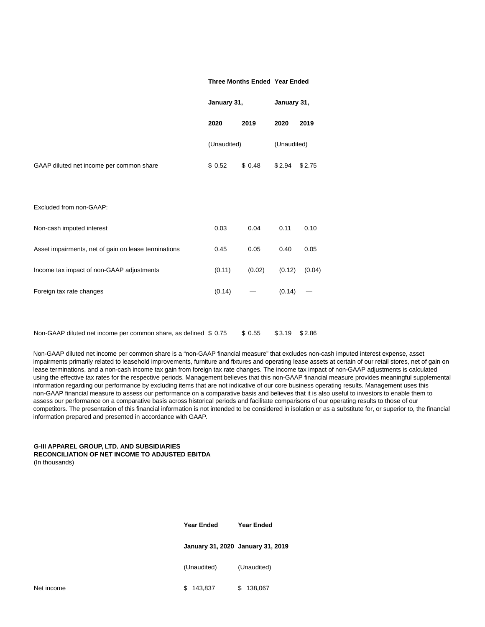#### **Three Months Ended Year Ended**

|                                                                  | January 31, |         | January 31, |        |  |
|------------------------------------------------------------------|-------------|---------|-------------|--------|--|
|                                                                  | 2020        | 2019    | 2020        | 2019   |  |
|                                                                  | (Unaudited) |         | (Unaudited) |        |  |
| GAAP diluted net income per common share                         | \$0.52      | \$0.48  | \$2.94      | \$2.75 |  |
|                                                                  |             |         |             |        |  |
| Excluded from non-GAAP:                                          |             |         |             |        |  |
| Non-cash imputed interest                                        | 0.03        | 0.04    | 0.11        | 0.10   |  |
| Asset impairments, net of gain on lease terminations             | 0.45        | 0.05    | 0.40        | 0.05   |  |
| Income tax impact of non-GAAP adjustments                        | (0.11)      | (0.02)  | (0.12)      | (0.04) |  |
| Foreign tax rate changes                                         | (0.14)      |         | (0.14)      |        |  |
|                                                                  |             |         |             |        |  |
| Non-GAAP diluted net income per common share, as defined \$ 0.75 |             | \$ 0.55 | \$3.19      | \$2.86 |  |

Non-GAAP diluted net income per common share is a "non-GAAP financial measure" that excludes non-cash imputed interest expense, asset impairments primarily related to leasehold improvements, furniture and fixtures and operating lease assets at certain of our retail stores, net of gain on lease terminations, and a non-cash income tax gain from foreign tax rate changes. The income tax impact of non-GAAP adjustments is calculated using the effective tax rates for the respective periods. Management believes that this non-GAAP financial measure provides meaningful supplemental information regarding our performance by excluding items that are not indicative of our core business operating results. Management uses this non-GAAP financial measure to assess our performance on a comparative basis and believes that it is also useful to investors to enable them to assess our performance on a comparative basis across historical periods and facilitate comparisons of our operating results to those of our competitors. The presentation of this financial information is not intended to be considered in isolation or as a substitute for, or superior to, the financial information prepared and presented in accordance with GAAP.

# **G-III APPAREL GROUP, LTD. AND SUBSIDIARIES RECONCILIATION OF NET INCOME TO ADJUSTED EBITDA**

(In thousands)

| Year Ended                        | Year Ended  |
|-----------------------------------|-------------|
| January 31, 2020 January 31, 2019 |             |
| (Unaudited)                       | (Unaudited) |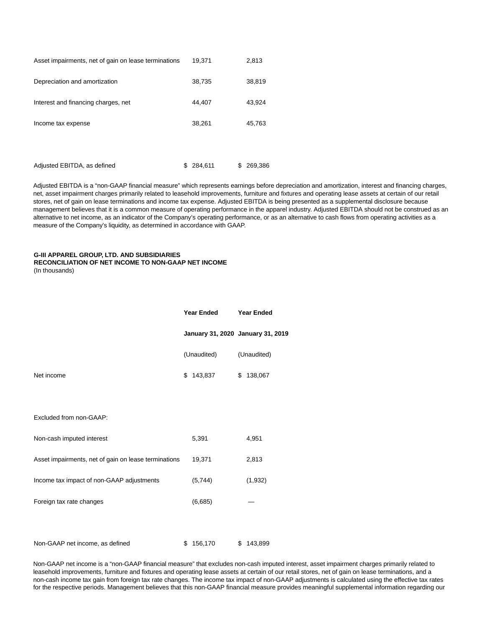| Asset impairments, net of gain on lease terminations |   | 19,371  |   | 2,813   |
|------------------------------------------------------|---|---------|---|---------|
| Depreciation and amortization                        |   | 38,735  |   | 38,819  |
| Interest and financing charges, net                  |   | 44,407  |   | 43,924  |
| Income tax expense                                   |   | 38,261  |   | 45,763  |
|                                                      |   |         |   |         |
| Adjusted EBITDA, as defined                          | S | 284.611 | S | 269.386 |

Adjusted EBITDA is a "non-GAAP financial measure" which represents earnings before depreciation and amortization, interest and financing charges, net, asset impairment charges primarily related to leasehold improvements, furniture and fixtures and operating lease assets at certain of our retail stores, net of gain on lease terminations and income tax expense. Adjusted EBITDA is being presented as a supplemental disclosure because management believes that it is a common measure of operating performance in the apparel industry. Adjusted EBITDA should not be construed as an alternative to net income, as an indicator of the Company's operating performance, or as an alternative to cash flows from operating activities as a measure of the Company's liquidity, as determined in accordance with GAAP.

# **G-III APPAREL GROUP, LTD. AND SUBSIDIARIES RECONCILIATION OF NET INCOME TO NON-GAAP NET INCOME**

(In thousands)

|                                                      | <b>Year Ended</b> |                                   | <b>Year Ended</b> |             |
|------------------------------------------------------|-------------------|-----------------------------------|-------------------|-------------|
|                                                      |                   | January 31, 2020 January 31, 2019 |                   |             |
|                                                      |                   | (Unaudited)                       |                   | (Unaudited) |
| Net income                                           | \$                | 143,837                           | \$                | 138,067     |
|                                                      |                   |                                   |                   |             |
| Excluded from non-GAAP:                              |                   |                                   |                   |             |
| Non-cash imputed interest                            |                   | 5,391                             |                   | 4,951       |
| Asset impairments, net of gain on lease terminations |                   | 19,371                            |                   | 2,813       |
| Income tax impact of non-GAAP adjustments            |                   | (5,744)                           |                   | (1,932)     |
| Foreign tax rate changes                             |                   | (6,685)                           |                   |             |
|                                                      |                   |                                   |                   |             |
| Non-GAAP net income, as defined                      | \$                | 156,170                           | \$                | 143,899     |

Non-GAAP net income is a "non-GAAP financial measure" that excludes non-cash imputed interest, asset impairment charges primarily related to leasehold improvements, furniture and fixtures and operating lease assets at certain of our retail stores, net of gain on lease terminations, and a non-cash income tax gain from foreign tax rate changes. The income tax impact of non-GAAP adjustments is calculated using the effective tax rates for the respective periods. Management believes that this non-GAAP financial measure provides meaningful supplemental information regarding our